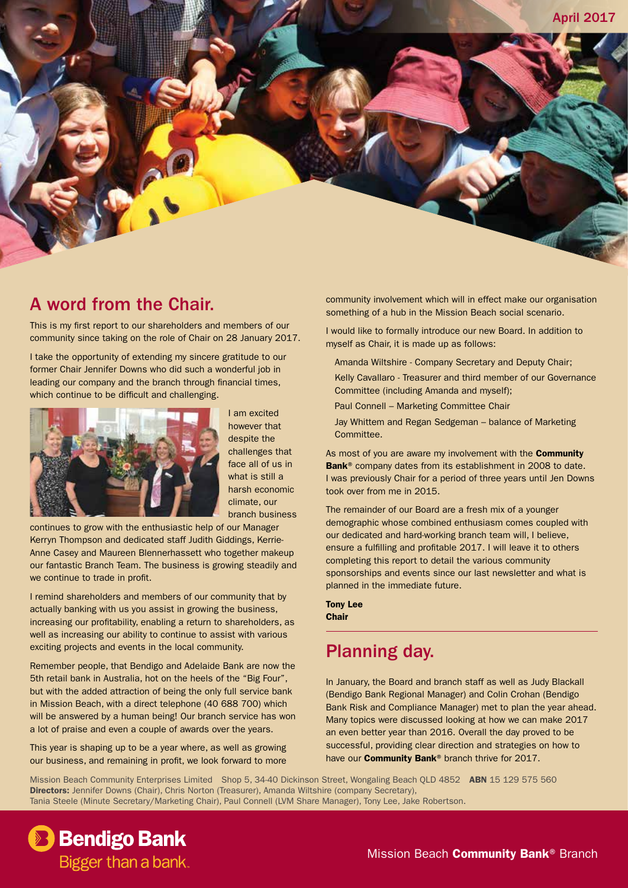

This is my first report to our shareholders and members of our community since taking on the role of Chair on 28 January 2017.

I take the opportunity of extending my sincere gratitude to our former Chair Jennifer Downs who did such a wonderful job in leading our company and the branch through financial times, which continue to be difficult and challenging.



I am excited however that despite the challenges that face all of us in what is still a harsh economic climate, our branch business

continues to grow with the enthusiastic help of our Manager Kerryn Thompson and dedicated staff Judith Giddings, Kerrie-Anne Casey and Maureen Blennerhassett who together makeup our fantastic Branch Team. The business is growing steadily and we continue to trade in profit.

I remind shareholders and members of our community that by actually banking with us you assist in growing the business, increasing our profitability, enabling a return to shareholders, as well as increasing our ability to continue to assist with various exciting projects and events in the local community.

Remember people, that Bendigo and Adelaide Bank are now the 5th retail bank in Australia, hot on the heels of the "Big Four", but with the added attraction of being the only full service bank in Mission Beach, with a direct telephone (40 688 700) which will be answered by a human being! Our branch service has won a lot of praise and even a couple of awards over the years.

This year is shaping up to be a year where, as well as growing our business, and remaining in profit, we look forward to more

community involvement which will in effect make our organisation something of a hub in the Mission Beach social scenario.

I would like to formally introduce our new Board. In addition to myself as Chair, it is made up as follows:

- Amanda Wiltshire Company Secretary and Deputy Chair;
- Kelly Cavallaro Treasurer and third member of our Governance Committee (including Amanda and myself);
- Paul Connell Marketing Committee Chair
- Jay Whittem and Regan Sedgeman balance of Marketing Committee.

As most of you are aware my involvement with the **Community** Bank<sup>®</sup> company dates from its establishment in 2008 to date. I was previously Chair for a period of three years until Jen Downs took over from me in 2015.

The remainder of our Board are a fresh mix of a younger demographic whose combined enthusiasm comes coupled with our dedicated and hard-working branch team will, I believe, ensure a fulfilling and profitable 2017. I will leave it to others completing this report to detail the various community sponsorships and events since our last newsletter and what is planned in the immediate future.

#### Tony Lee **Chair**

## Planning day.

In January, the Board and branch staff as well as Judy Blackall (Bendigo Bank Regional Manager) and Colin Crohan (Bendigo Bank Risk and Compliance Manager) met to plan the year ahead. Many topics were discussed looking at how we can make 2017 an even better year than 2016. Overall the day proved to be successful, providing clear direction and strategies on how to have our **Community Bank®** branch thrive for 2017.

Mission Beach Community Enterprises Limited Shop 5, 34-40 Dickinson Street, Wongaling Beach OLD 4852 ABN 15 129 575 560 Directors: Jennifer Downs (Chair), Chris Norton (Treasurer), Amanda Wiltshire (company Secretary), Tania Steele (Minute Secretary/Marketing Chair), Paul Connell (LVM Share Manager), Tony Lee, Jake Robertson.